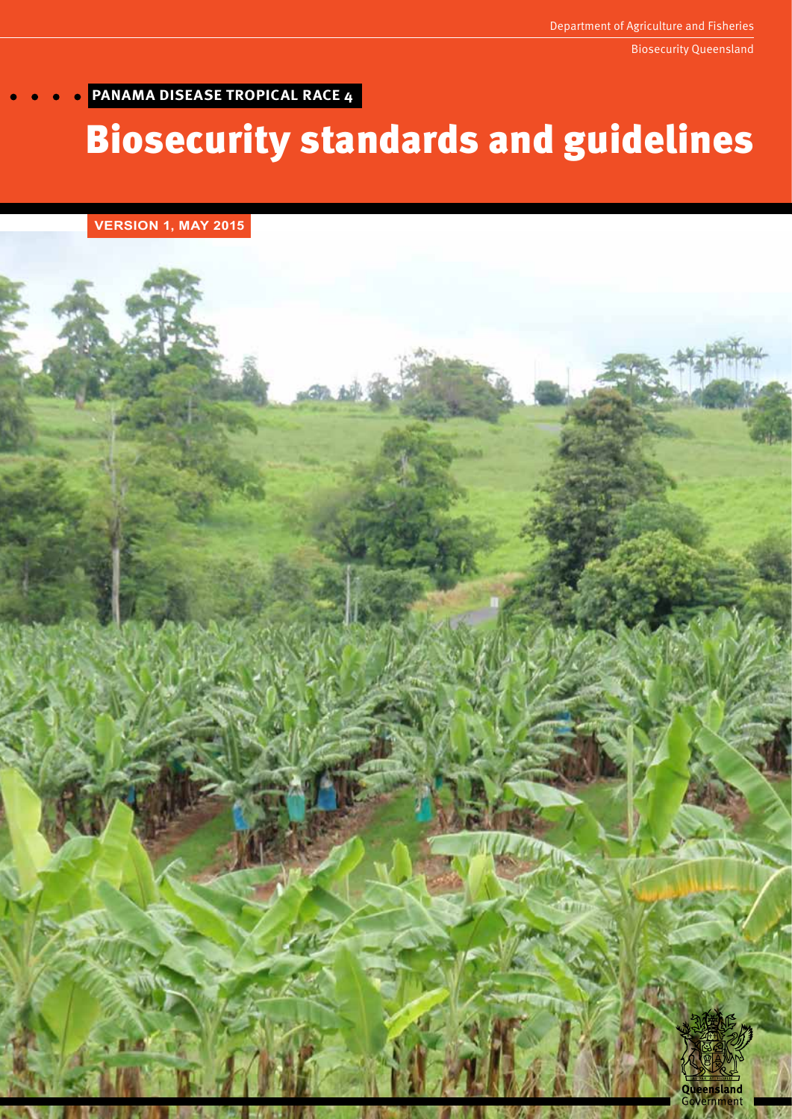# **PANAMA DISEASE TROPICAL RACE 4**

# Biosecurity standards and guidelines

**VERSION 1, MAY 2015**

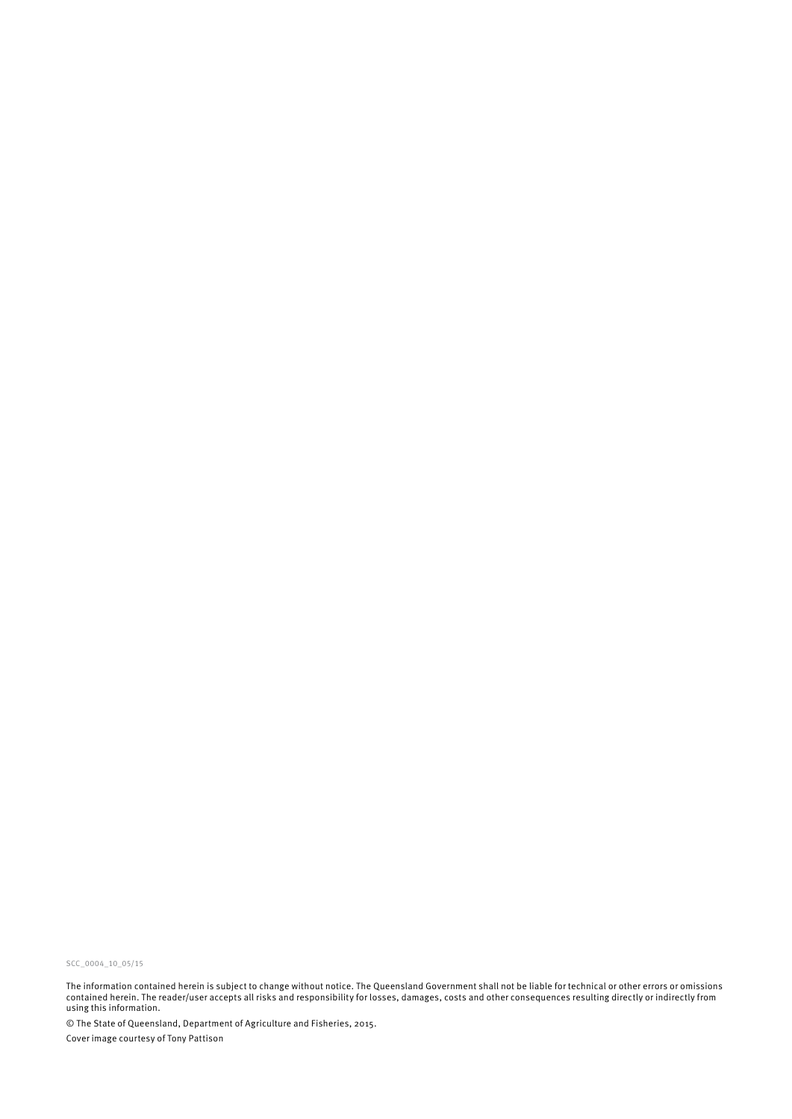SCC\_0004\_10\_05/15

The information contained herein is subject to change without notice. The Queensland Government shall not be liable for technical or other errors or omissions contained herein. The reader/user accepts all risks and responsibility for losses, damages, costs and other consequences resulting directly or indirectly from using this information.

© The State of Queensland, Department of Agriculture and Fisheries, 2015. Cover image courtesy of Tony Pattison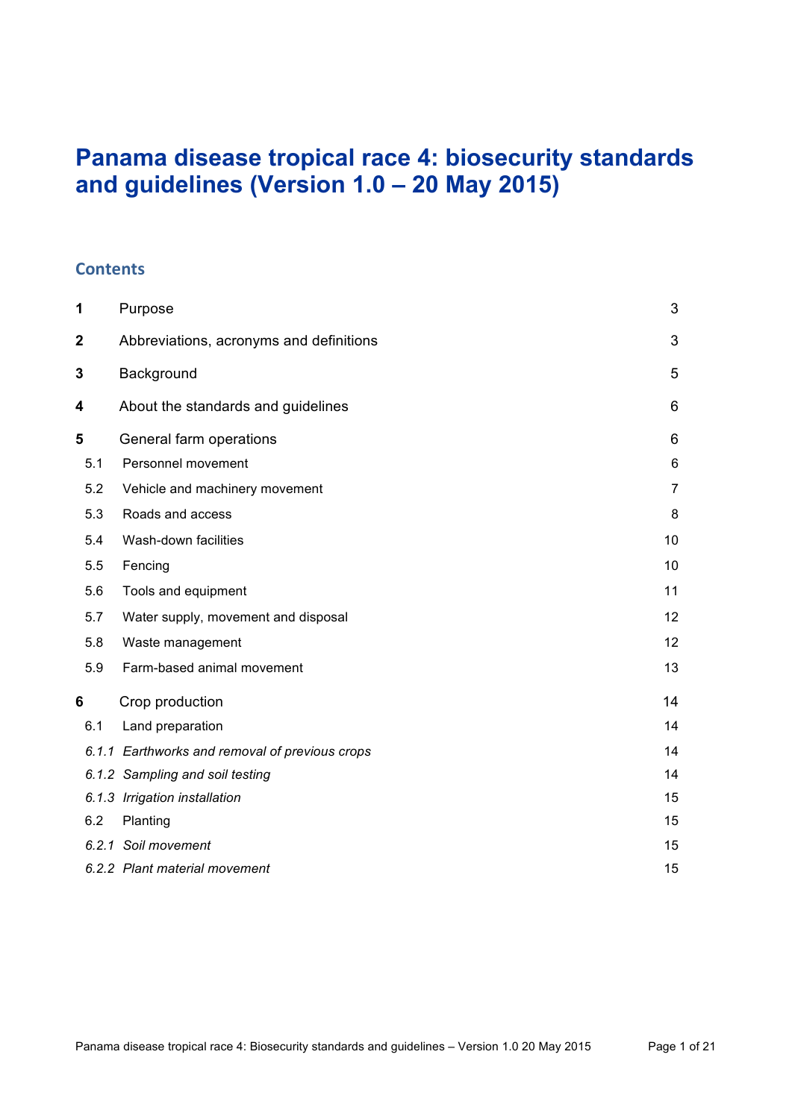# **Panama disease tropical race 4: biosecurity standards and guidelines (Version 1.0 ‒ 20 May 2015)**

#### **Contents**

| 1                                                      | Purpose                                        |                |
|--------------------------------------------------------|------------------------------------------------|----------------|
| $\mathbf 2$<br>Abbreviations, acronyms and definitions |                                                |                |
| 3                                                      | Background                                     | 5              |
| 4                                                      | About the standards and guidelines             | 6              |
| 5                                                      | General farm operations                        | 6              |
| 5.1                                                    | Personnel movement                             | 6              |
| 5.2                                                    | Vehicle and machinery movement                 | $\overline{7}$ |
| 5.3                                                    | Roads and access                               | 8              |
| 5.4                                                    | Wash-down facilities                           | 10             |
| 5.5                                                    | Fencing                                        | 10             |
| 5.6                                                    | Tools and equipment                            | 11             |
| 5.7                                                    | Water supply, movement and disposal            | 12             |
| 5.8                                                    | Waste management                               | 12             |
| 5.9                                                    | Farm-based animal movement                     | 13             |
| 6                                                      | Crop production                                | 14             |
| 6.1                                                    | Land preparation                               | 14             |
|                                                        | 6.1.1 Earthworks and removal of previous crops | 14             |
|                                                        | 6.1.2 Sampling and soil testing                | 14             |
|                                                        | 6.1.3 Irrigation installation                  | 15             |
| 6.2                                                    | Planting                                       | 15             |
|                                                        | 6.2.1 Soil movement                            | 15             |
|                                                        | 6.2.2 Plant material movement                  | 15             |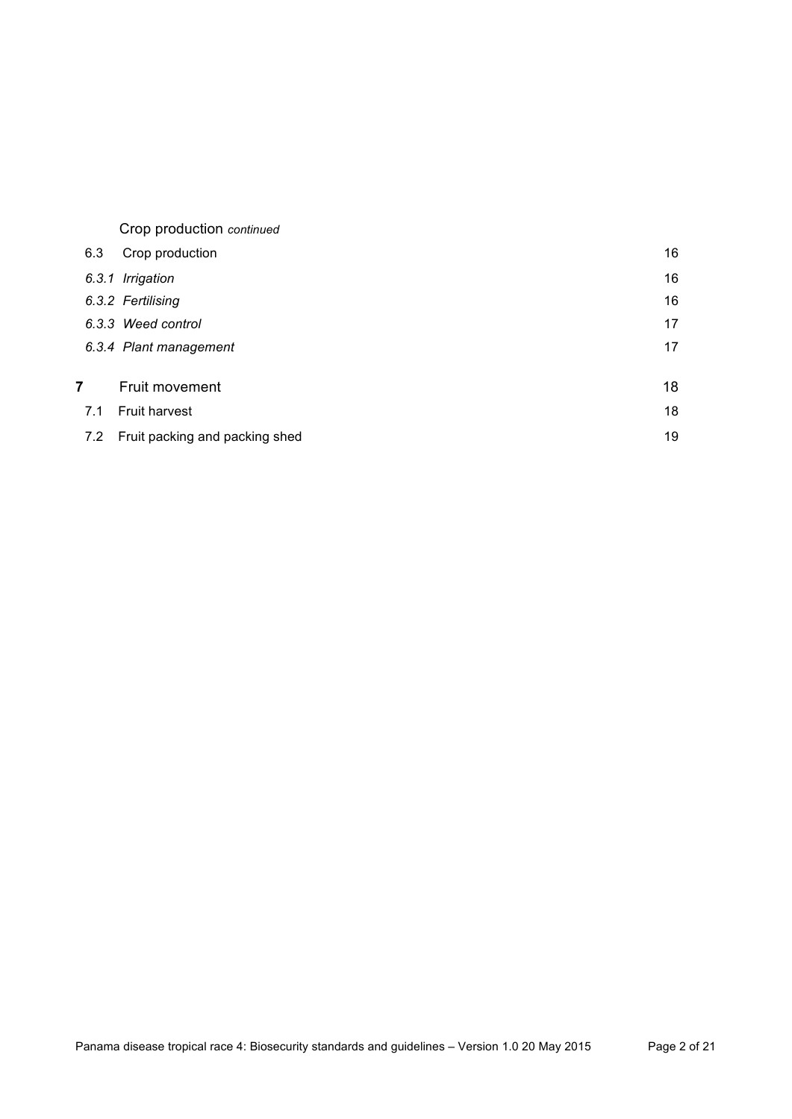|   |     | Crop production continued      |    |
|---|-----|--------------------------------|----|
|   | 6.3 | Crop production                | 16 |
|   |     | 6.3.1 Irrigation               | 16 |
|   |     | 6.3.2 Fertilising              | 16 |
|   |     | 6.3.3 Weed control             | 17 |
|   |     | 6.3.4 Plant management         | 17 |
| 7 |     | Fruit movement                 | 18 |
|   | 7.1 | <b>Fruit harvest</b>           | 18 |
|   | 7.2 | Fruit packing and packing shed | 19 |
|   |     |                                |    |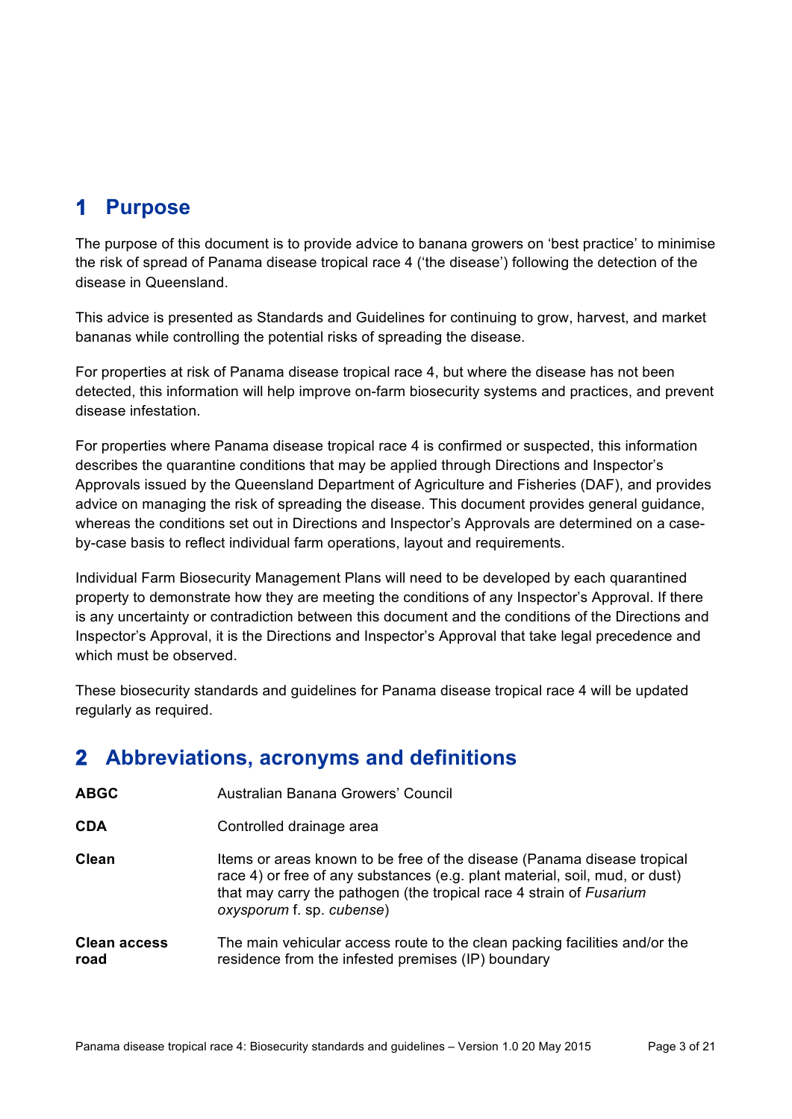# **1 Purpose**

The purpose of this document is to provide advice to banana growers on 'best practice' to minimise the risk of spread of Panama disease tropical race 4 ('the disease') following the detection of the disease in Queensland.

This advice is presented as Standards and Guidelines for continuing to grow, harvest, and market bananas while controlling the potential risks of spreading the disease.

For properties at risk of Panama disease tropical race 4, but where the disease has not been detected, this information will help improve on-farm biosecurity systems and practices, and prevent disease infestation.

For properties where Panama disease tropical race 4 is confirmed or suspected, this information describes the quarantine conditions that may be applied through Directions and Inspector's Approvals issued by the Queensland Department of Agriculture and Fisheries (DAF), and provides advice on managing the risk of spreading the disease. This document provides general guidance, whereas the conditions set out in Directions and Inspector's Approvals are determined on a caseby-case basis to reflect individual farm operations, layout and requirements.

Individual Farm Biosecurity Management Plans will need to be developed by each quarantined property to demonstrate how they are meeting the conditions of any Inspector's Approval. If there is any uncertainty or contradiction between this document and the conditions of the Directions and Inspector's Approval, it is the Directions and Inspector's Approval that take legal precedence and which must be observed.

These biosecurity standards and guidelines for Panama disease tropical race 4 will be updated regularly as required.

# **2 Abbreviations, acronyms and definitions**

| <b>ABGC</b>                 | Australian Banana Growers' Council                                                                                                                                                                                                                         |
|-----------------------------|------------------------------------------------------------------------------------------------------------------------------------------------------------------------------------------------------------------------------------------------------------|
| <b>CDA</b>                  | Controlled drainage area                                                                                                                                                                                                                                   |
| Clean                       | Items or areas known to be free of the disease (Panama disease tropical<br>race 4) or free of any substances (e.g. plant material, soil, mud, or dust)<br>that may carry the pathogen (the tropical race 4 strain of Fusarium<br>oxysporum f. sp. cubense) |
| <b>Clean access</b><br>road | The main vehicular access route to the clean packing facilities and/or the<br>residence from the infested premises (IP) boundary                                                                                                                           |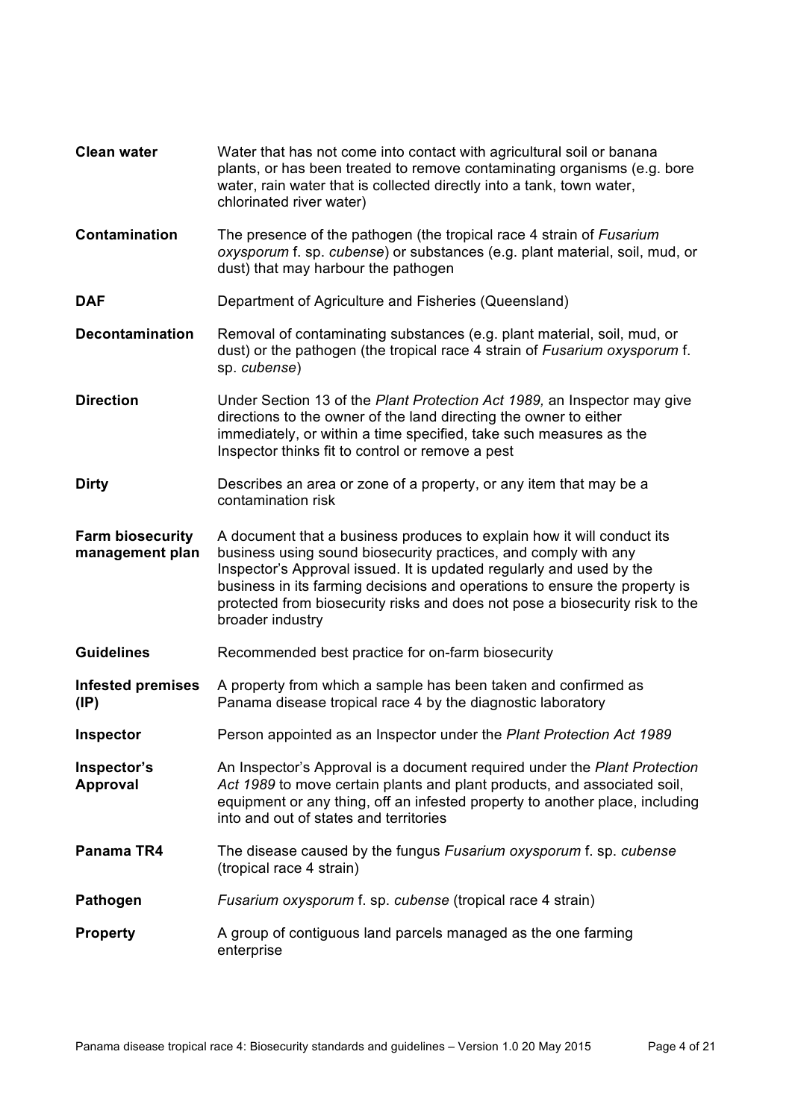| <b>Clean water</b>                          | Water that has not come into contact with agricultural soil or banana<br>plants, or has been treated to remove contaminating organisms (e.g. bore<br>water, rain water that is collected directly into a tank, town water,<br>chlorinated river water)                                                                                                                                              |
|---------------------------------------------|-----------------------------------------------------------------------------------------------------------------------------------------------------------------------------------------------------------------------------------------------------------------------------------------------------------------------------------------------------------------------------------------------------|
| Contamination                               | The presence of the pathogen (the tropical race 4 strain of Fusarium<br>oxysporum f. sp. cubense) or substances (e.g. plant material, soil, mud, or<br>dust) that may harbour the pathogen                                                                                                                                                                                                          |
| <b>DAF</b>                                  | Department of Agriculture and Fisheries (Queensland)                                                                                                                                                                                                                                                                                                                                                |
| <b>Decontamination</b>                      | Removal of contaminating substances (e.g. plant material, soil, mud, or<br>dust) or the pathogen (the tropical race 4 strain of Fusarium oxysporum f.<br>sp. cubense)                                                                                                                                                                                                                               |
| <b>Direction</b>                            | Under Section 13 of the Plant Protection Act 1989, an Inspector may give<br>directions to the owner of the land directing the owner to either<br>immediately, or within a time specified, take such measures as the<br>Inspector thinks fit to control or remove a pest                                                                                                                             |
| <b>Dirty</b>                                | Describes an area or zone of a property, or any item that may be a<br>contamination risk                                                                                                                                                                                                                                                                                                            |
| <b>Farm biosecurity</b><br>management plan  | A document that a business produces to explain how it will conduct its<br>business using sound biosecurity practices, and comply with any<br>Inspector's Approval issued. It is updated regularly and used by the<br>business in its farming decisions and operations to ensure the property is<br>protected from biosecurity risks and does not pose a biosecurity risk to the<br>broader industry |
| <b>Guidelines</b>                           | Recommended best practice for on-farm biosecurity                                                                                                                                                                                                                                                                                                                                                   |
| <b>Infested premises</b><br>$(\mathsf{IP})$ | A property from which a sample has been taken and confirmed as<br>Panama disease tropical race 4 by the diagnostic laboratory                                                                                                                                                                                                                                                                       |
| <b>Inspector</b>                            | Person appointed as an Inspector under the Plant Protection Act 1989                                                                                                                                                                                                                                                                                                                                |
| Inspector's<br>Approval                     | An Inspector's Approval is a document required under the Plant Protection<br>Act 1989 to move certain plants and plant products, and associated soil,<br>equipment or any thing, off an infested property to another place, including<br>into and out of states and territories                                                                                                                     |
| Panama TR4                                  | The disease caused by the fungus Fusarium oxysporum f. sp. cubense<br>(tropical race 4 strain)                                                                                                                                                                                                                                                                                                      |
| Pathogen                                    | Fusarium oxysporum f. sp. cubense (tropical race 4 strain)                                                                                                                                                                                                                                                                                                                                          |
| <b>Property</b>                             | A group of contiguous land parcels managed as the one farming<br>enterprise                                                                                                                                                                                                                                                                                                                         |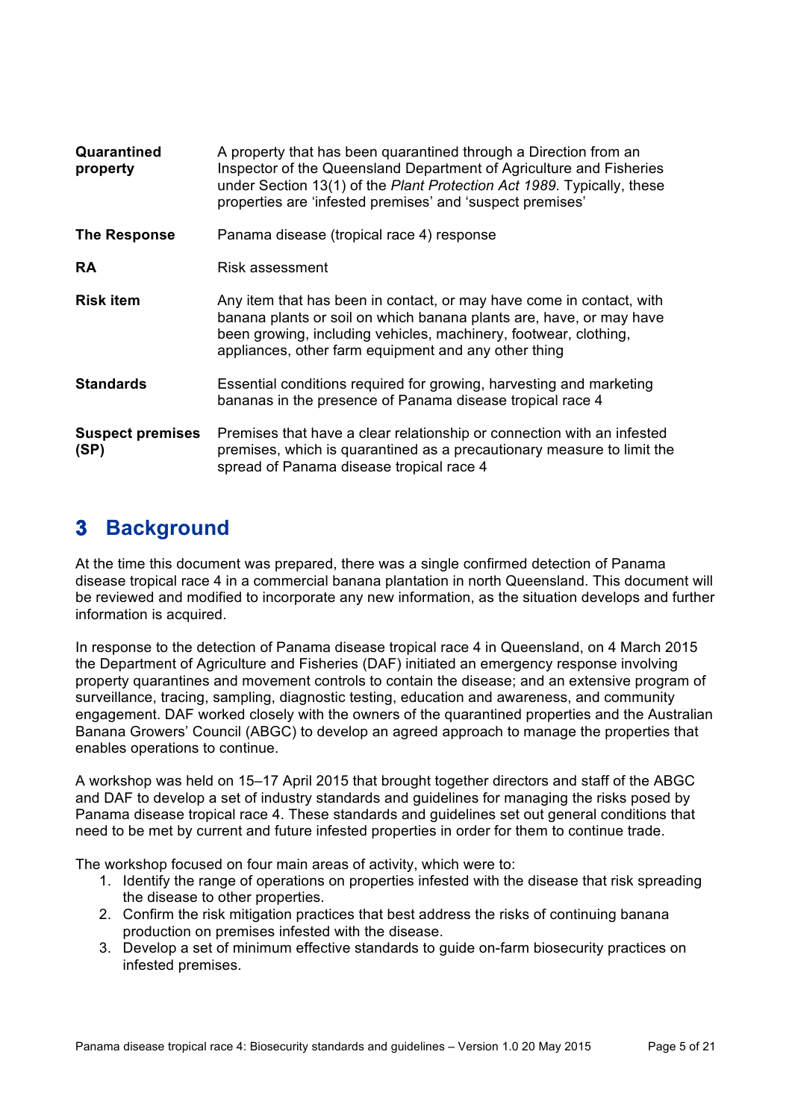| Quarantined<br>property         | A property that has been quarantined through a Direction from an<br>Inspector of the Queensland Department of Agriculture and Fisheries<br>under Section 13(1) of the Plant Protection Act 1989. Typically, these<br>properties are 'infested premises' and 'suspect premises' |
|---------------------------------|--------------------------------------------------------------------------------------------------------------------------------------------------------------------------------------------------------------------------------------------------------------------------------|
| The Response                    | Panama disease (tropical race 4) response                                                                                                                                                                                                                                      |
| <b>RA</b>                       | Risk assessment                                                                                                                                                                                                                                                                |
| <b>Risk item</b>                | Any item that has been in contact, or may have come in contact, with<br>banana plants or soil on which banana plants are, have, or may have<br>been growing, including vehicles, machinery, footwear, clothing,<br>appliances, other farm equipment and any other thing        |
| <b>Standards</b>                | Essential conditions required for growing, harvesting and marketing<br>bananas in the presence of Panama disease tropical race 4                                                                                                                                               |
| <b>Suspect premises</b><br>(SP) | Premises that have a clear relationship or connection with an infested<br>premises, which is quarantined as a precautionary measure to limit the<br>spread of Panama disease tropical race 4                                                                                   |

# **3 Background**

At the time this document was prepared, there was a single confirmed detection of Panama disease tropical race 4 in a commercial banana plantation in north Queensland. This document will be reviewed and modified to incorporate any new information, as the situation develops and further information is acquired.

In response to the detection of Panama disease tropical race 4 in Queensland, on 4 March 2015 the Department of Agriculture and Fisheries (DAF) initiated an emergency response involving property quarantines and movement controls to contain the disease; and an extensive program of surveillance, tracing, sampling, diagnostic testing, education and awareness, and community engagement. DAF worked closely with the owners of the quarantined properties and the Australian Banana Growers' Council (ABGC) to develop an agreed approach to manage the properties that enables operations to continue.

A workshop was held on 15–17 April 2015 that brought together directors and staff of the ABGC and DAF to develop a set of industry standards and guidelines for managing the risks posed by Panama disease tropical race 4. These standards and guidelines set out general conditions that need to be met by current and future infested properties in order for them to continue trade.

The workshop focused on four main areas of activity, which were to:

- 1. Identify the range of operations on properties infested with the disease that risk spreading the disease to other properties.
- 2. Confirm the risk mitigation practices that best address the risks of continuing banana production on premises infested with the disease.
- 3. Develop a set of minimum effective standards to guide on-farm biosecurity practices on infested premises.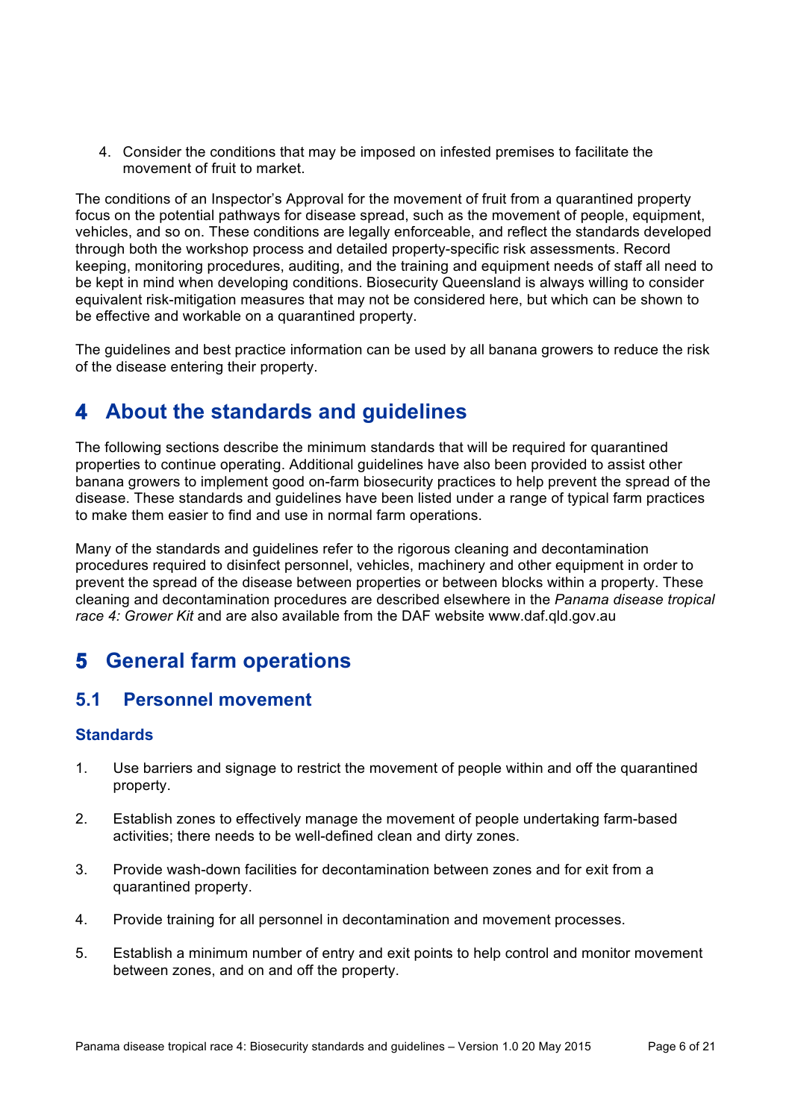4. Consider the conditions that may be imposed on infested premises to facilitate the movement of fruit to market.

The conditions of an Inspector's Approval for the movement of fruit from a quarantined property focus on the potential pathways for disease spread, such as the movement of people, equipment, vehicles, and so on. These conditions are legally enforceable, and reflect the standards developed through both the workshop process and detailed property-specific risk assessments. Record keeping, monitoring procedures, auditing, and the training and equipment needs of staff all need to be kept in mind when developing conditions. Biosecurity Queensland is always willing to consider equivalent risk-mitigation measures that may not be considered here, but which can be shown to be effective and workable on a quarantined property.

The guidelines and best practice information can be used by all banana growers to reduce the risk of the disease entering their property.

# **4 About the standards and guidelines**

The following sections describe the minimum standards that will be required for quarantined properties to continue operating. Additional guidelines have also been provided to assist other banana growers to implement good on-farm biosecurity practices to help prevent the spread of the disease. These standards and guidelines have been listed under a range of typical farm practices to make them easier to find and use in normal farm operations.

Many of the standards and guidelines refer to the rigorous cleaning and decontamination procedures required to disinfect personnel, vehicles, machinery and other equipment in order to prevent the spread of the disease between properties or between blocks within a property. These cleaning and decontamination procedures are described elsewhere in the *Panama disease tropical race 4: Grower Kit* and are also available from the DAF website www.daf.qld.gov.au

# **5 General farm operations**

### **5.1 Personnel movement**

- 1. Use barriers and signage to restrict the movement of people within and off the quarantined property.
- 2. Establish zones to effectively manage the movement of people undertaking farm-based activities; there needs to be well-defined clean and dirty zones.
- 3. Provide wash-down facilities for decontamination between zones and for exit from a quarantined property.
- 4. Provide training for all personnel in decontamination and movement processes.
- 5. Establish a minimum number of entry and exit points to help control and monitor movement between zones, and on and off the property.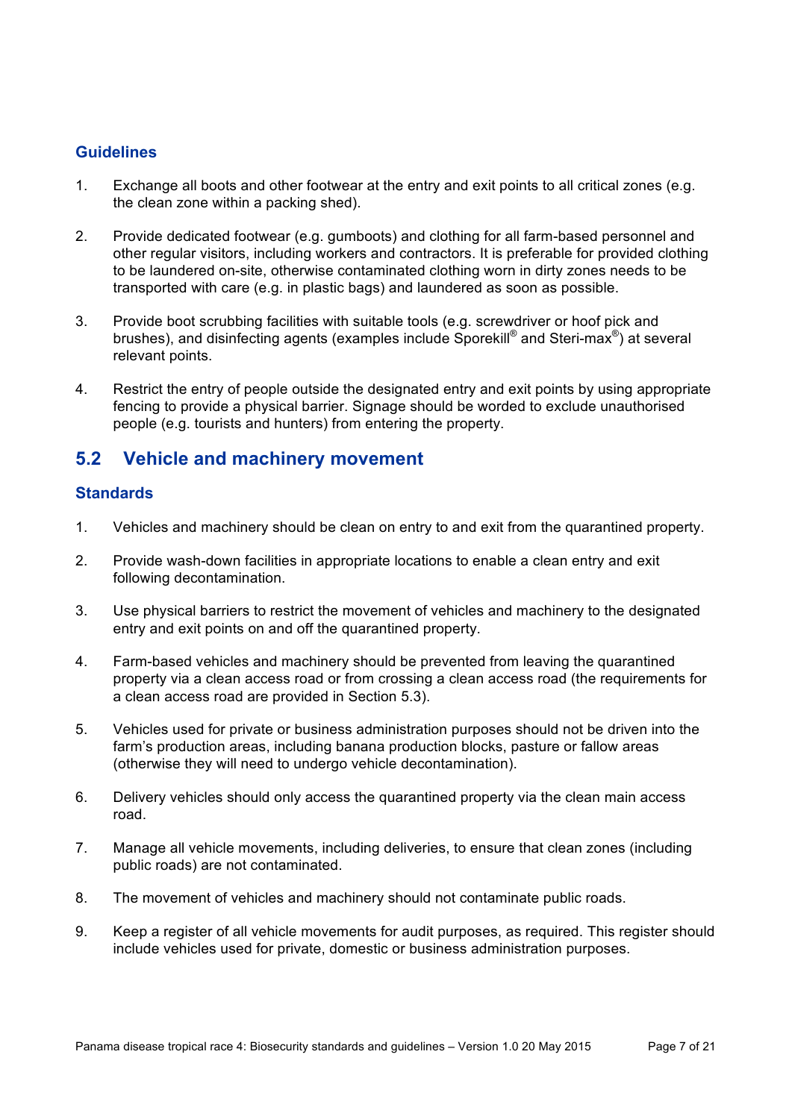- 1. Exchange all boots and other footwear at the entry and exit points to all critical zones (e.g. the clean zone within a packing shed).
- 2. Provide dedicated footwear (e.g. gumboots) and clothing for all farm-based personnel and other regular visitors, including workers and contractors. It is preferable for provided clothing to be laundered on-site, otherwise contaminated clothing worn in dirty zones needs to be transported with care (e.g. in plastic bags) and laundered as soon as possible.
- 3. Provide boot scrubbing facilities with suitable tools (e.g. screwdriver or hoof pick and brushes), and disinfecting agents (examples include Sporekill<sup>®</sup> and Steri-max<sup>®</sup>) at several relevant points.
- 4. Restrict the entry of people outside the designated entry and exit points by using appropriate fencing to provide a physical barrier. Signage should be worded to exclude unauthorised people (e.g. tourists and hunters) from entering the property.

### **5.2 Vehicle and machinery movement**

- 1. Vehicles and machinery should be clean on entry to and exit from the quarantined property.
- 2. Provide wash-down facilities in appropriate locations to enable a clean entry and exit following decontamination.
- 3. Use physical barriers to restrict the movement of vehicles and machinery to the designated entry and exit points on and off the quarantined property.
- 4. Farm-based vehicles and machinery should be prevented from leaving the quarantined property via a clean access road or from crossing a clean access road (the requirements for a clean access road are provided in Section 5.3).
- 5. Vehicles used for private or business administration purposes should not be driven into the farm's production areas, including banana production blocks, pasture or fallow areas (otherwise they will need to undergo vehicle decontamination).
- 6. Delivery vehicles should only access the quarantined property via the clean main access road.
- 7. Manage all vehicle movements, including deliveries, to ensure that clean zones (including public roads) are not contaminated.
- 8. The movement of vehicles and machinery should not contaminate public roads.
- 9. Keep a register of all vehicle movements for audit purposes, as required. This register should include vehicles used for private, domestic or business administration purposes.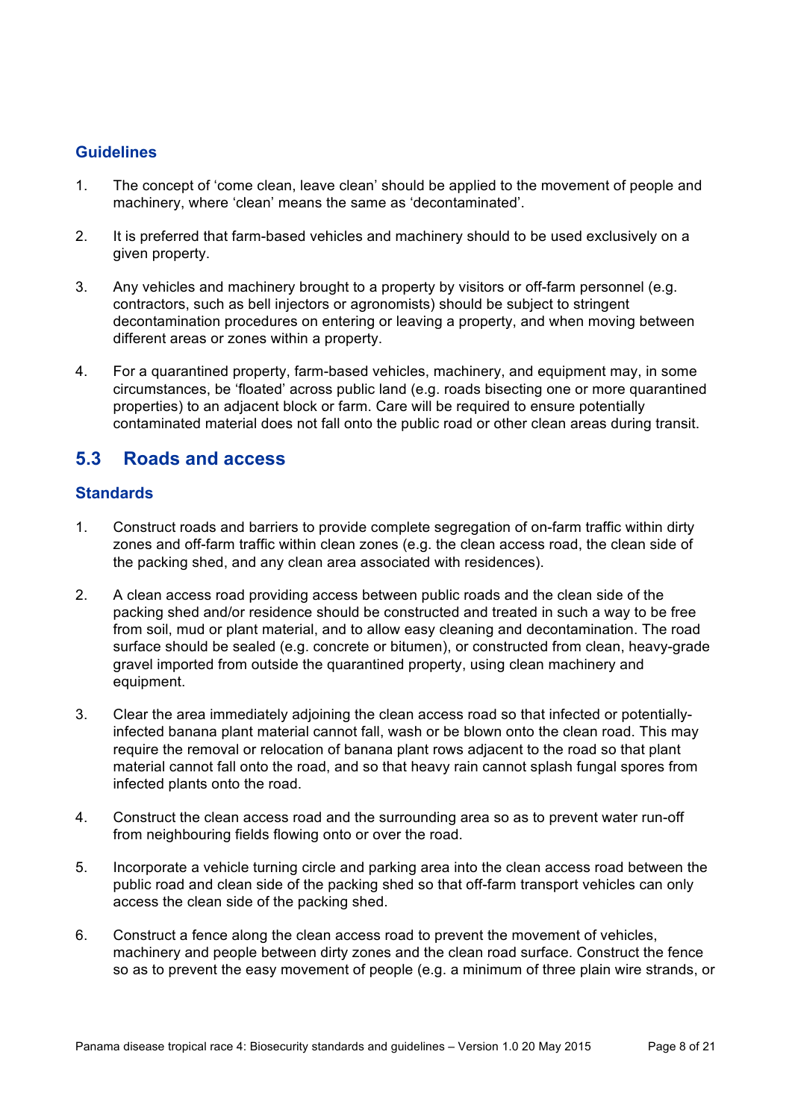- 1. The concept of 'come clean, leave clean' should be applied to the movement of people and machinery, where 'clean' means the same as 'decontaminated'.
- 2. It is preferred that farm-based vehicles and machinery should to be used exclusively on a given property.
- 3. Any vehicles and machinery brought to a property by visitors or off-farm personnel (e.g. contractors, such as bell injectors or agronomists) should be subject to stringent decontamination procedures on entering or leaving a property, and when moving between different areas or zones within a property.
- 4. For a quarantined property, farm-based vehicles, machinery, and equipment may, in some circumstances, be 'floated' across public land (e.g. roads bisecting one or more quarantined properties) to an adjacent block or farm. Care will be required to ensure potentially contaminated material does not fall onto the public road or other clean areas during transit.

### **5.3 Roads and access**

- 1. Construct roads and barriers to provide complete segregation of on-farm traffic within dirty zones and off-farm traffic within clean zones (e.g. the clean access road, the clean side of the packing shed, and any clean area associated with residences).
- 2. A clean access road providing access between public roads and the clean side of the packing shed and/or residence should be constructed and treated in such a way to be free from soil, mud or plant material, and to allow easy cleaning and decontamination. The road surface should be sealed (e.g. concrete or bitumen), or constructed from clean, heavy-grade gravel imported from outside the quarantined property, using clean machinery and equipment.
- 3. Clear the area immediately adjoining the clean access road so that infected or potentiallyinfected banana plant material cannot fall, wash or be blown onto the clean road. This may require the removal or relocation of banana plant rows adjacent to the road so that plant material cannot fall onto the road, and so that heavy rain cannot splash fungal spores from infected plants onto the road.
- 4. Construct the clean access road and the surrounding area so as to prevent water run-off from neighbouring fields flowing onto or over the road.
- 5. Incorporate a vehicle turning circle and parking area into the clean access road between the public road and clean side of the packing shed so that off-farm transport vehicles can only access the clean side of the packing shed.
- 6. Construct a fence along the clean access road to prevent the movement of vehicles, machinery and people between dirty zones and the clean road surface. Construct the fence so as to prevent the easy movement of people (e.g. a minimum of three plain wire strands, or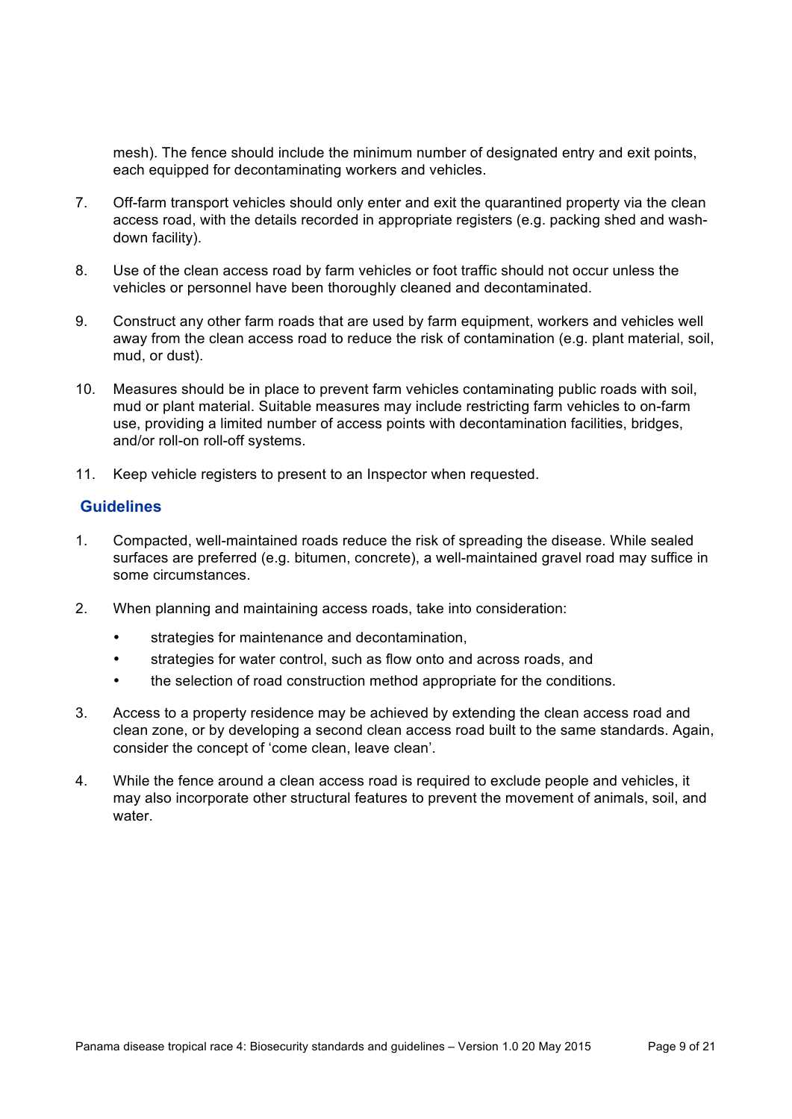mesh). The fence should include the minimum number of designated entry and exit points, each equipped for decontaminating workers and vehicles.

- 7. Off-farm transport vehicles should only enter and exit the quarantined property via the clean access road, with the details recorded in appropriate registers (e.g. packing shed and washdown facility).
- 8. Use of the clean access road by farm vehicles or foot traffic should not occur unless the vehicles or personnel have been thoroughly cleaned and decontaminated.
- 9. Construct any other farm roads that are used by farm equipment, workers and vehicles well away from the clean access road to reduce the risk of contamination (e.g. plant material, soil, mud, or dust).
- 10. Measures should be in place to prevent farm vehicles contaminating public roads with soil, mud or plant material. Suitable measures may include restricting farm vehicles to on-farm use, providing a limited number of access points with decontamination facilities, bridges, and/or roll-on roll-off systems.
- 11. Keep vehicle registers to present to an Inspector when requested.

#### **Guidelines**

- 1. Compacted, well-maintained roads reduce the risk of spreading the disease. While sealed surfaces are preferred (e.g. bitumen, concrete), a well-maintained gravel road may suffice in some circumstances.
- 2. When planning and maintaining access roads, take into consideration:
	- strategies for maintenance and decontamination,
	- strategies for water control, such as flow onto and across roads, and
	- the selection of road construction method appropriate for the conditions.
- 3. Access to a property residence may be achieved by extending the clean access road and clean zone, or by developing a second clean access road built to the same standards. Again, consider the concept of 'come clean, leave clean'.
- 4. While the fence around a clean access road is required to exclude people and vehicles, it may also incorporate other structural features to prevent the movement of animals, soil, and water.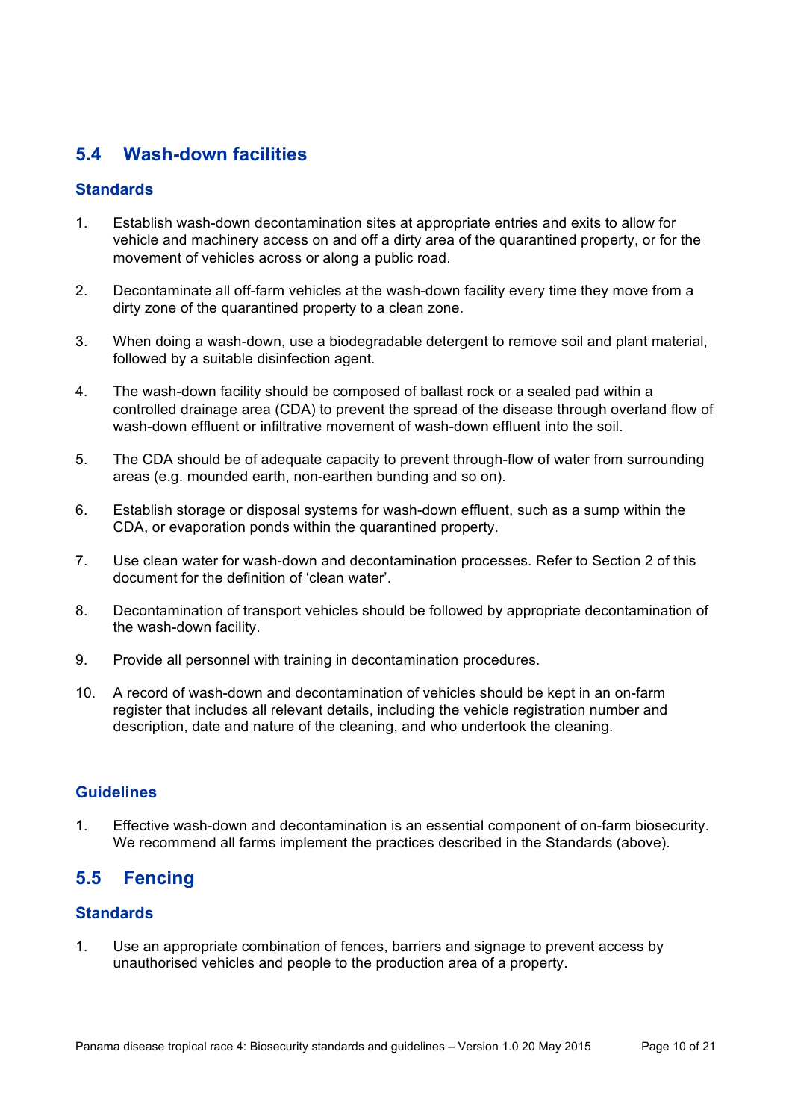# **5.4 Wash-down facilities**

#### **Standards**

- 1. Establish wash-down decontamination sites at appropriate entries and exits to allow for vehicle and machinery access on and off a dirty area of the quarantined property, or for the movement of vehicles across or along a public road.
- 2. Decontaminate all off-farm vehicles at the wash-down facility every time they move from a dirty zone of the quarantined property to a clean zone.
- 3. When doing a wash-down, use a biodegradable detergent to remove soil and plant material, followed by a suitable disinfection agent.
- 4. The wash-down facility should be composed of ballast rock or a sealed pad within a controlled drainage area (CDA) to prevent the spread of the disease through overland flow of wash-down effluent or infiltrative movement of wash-down effluent into the soil.
- 5. The CDA should be of adequate capacity to prevent through-flow of water from surrounding areas (e.g. mounded earth, non-earthen bunding and so on).
- 6. Establish storage or disposal systems for wash-down effluent, such as a sump within the CDA, or evaporation ponds within the quarantined property.
- 7. Use clean water for wash-down and decontamination processes. Refer to Section 2 of this document for the definition of 'clean water'.
- 8. Decontamination of transport vehicles should be followed by appropriate decontamination of the wash-down facility.
- 9. Provide all personnel with training in decontamination procedures.
- 10. A record of wash-down and decontamination of vehicles should be kept in an on-farm register that includes all relevant details, including the vehicle registration number and description, date and nature of the cleaning, and who undertook the cleaning.

#### **Guidelines**

1. Effective wash-down and decontamination is an essential component of on-farm biosecurity. We recommend all farms implement the practices described in the Standards (above).

### **5.5 Fencing**

#### **Standards**

1. Use an appropriate combination of fences, barriers and signage to prevent access by unauthorised vehicles and people to the production area of a property.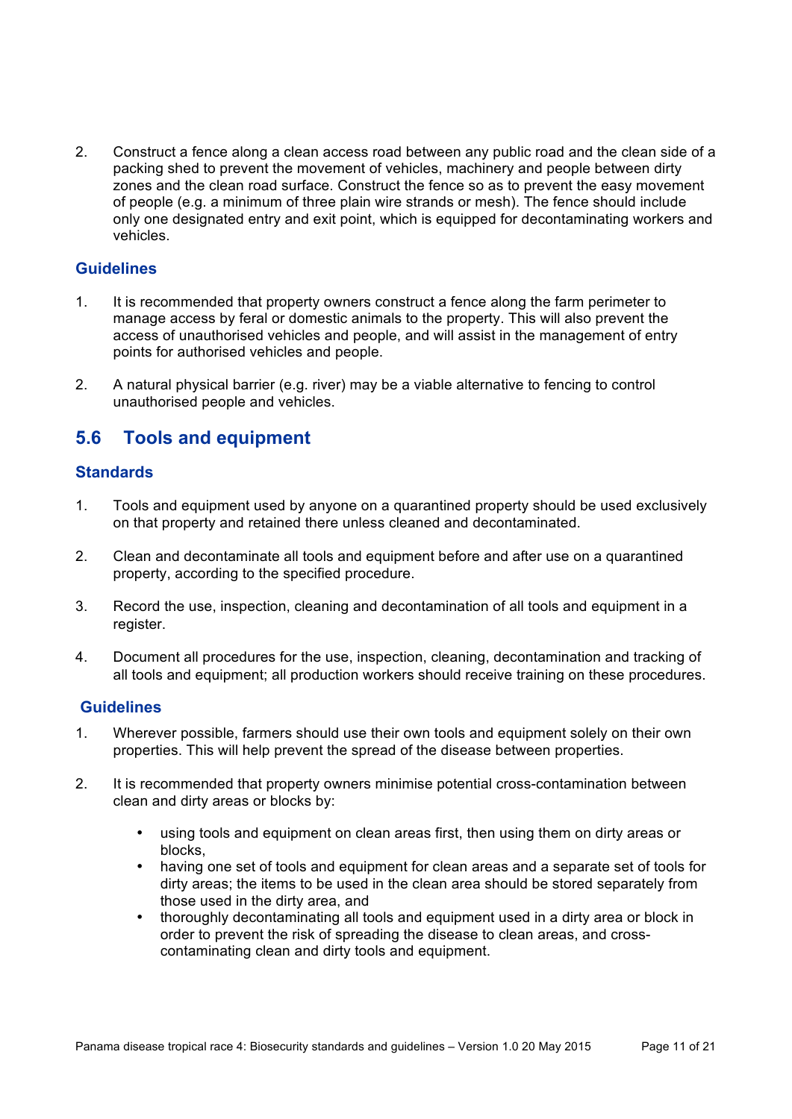2. Construct a fence along a clean access road between any public road and the clean side of a packing shed to prevent the movement of vehicles, machinery and people between dirty zones and the clean road surface. Construct the fence so as to prevent the easy movement of people (e.g. a minimum of three plain wire strands or mesh). The fence should include only one designated entry and exit point, which is equipped for decontaminating workers and vehicles.

#### **Guidelines**

- 1. It is recommended that property owners construct a fence along the farm perimeter to manage access by feral or domestic animals to the property. This will also prevent the access of unauthorised vehicles and people, and will assist in the management of entry points for authorised vehicles and people.
- 2. A natural physical barrier (e.g. river) may be a viable alternative to fencing to control unauthorised people and vehicles.

### **5.6 Tools and equipment**

#### **Standards**

- 1. Tools and equipment used by anyone on a quarantined property should be used exclusively on that property and retained there unless cleaned and decontaminated.
- 2. Clean and decontaminate all tools and equipment before and after use on a quarantined property, according to the specified procedure.
- 3. Record the use, inspection, cleaning and decontamination of all tools and equipment in a register.
- 4. Document all procedures for the use, inspection, cleaning, decontamination and tracking of all tools and equipment; all production workers should receive training on these procedures.

#### **Guidelines**

- 1. Wherever possible, farmers should use their own tools and equipment solely on their own properties. This will help prevent the spread of the disease between properties.
- 2. It is recommended that property owners minimise potential cross-contamination between clean and dirty areas or blocks by:
	- using tools and equipment on clean areas first, then using them on dirty areas or blocks,
	- having one set of tools and equipment for clean areas and a separate set of tools for dirty areas; the items to be used in the clean area should be stored separately from those used in the dirty area, and
	- thoroughly decontaminating all tools and equipment used in a dirty area or block in order to prevent the risk of spreading the disease to clean areas, and crosscontaminating clean and dirty tools and equipment.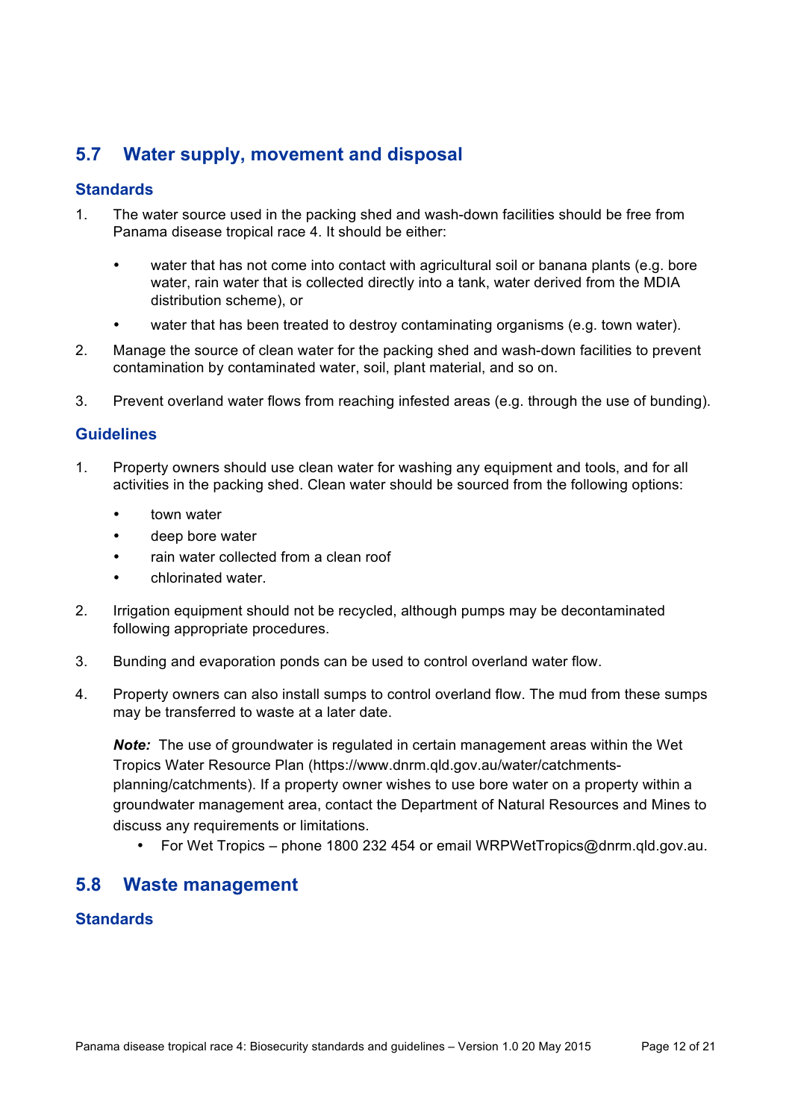# **5.7 Water supply, movement and disposal**

#### **Standards**

- 1. The water source used in the packing shed and wash-down facilities should be free from Panama disease tropical race 4. It should be either:
	- water that has not come into contact with agricultural soil or banana plants (e.g. bore water, rain water that is collected directly into a tank, water derived from the MDIA distribution scheme), or
	- water that has been treated to destroy contaminating organisms (e.g. town water).
- 2. Manage the source of clean water for the packing shed and wash-down facilities to prevent contamination by contaminated water, soil, plant material, and so on.
- 3. Prevent overland water flows from reaching infested areas (e.g. through the use of bunding).

#### **Guidelines**

- 1. Property owners should use clean water for washing any equipment and tools, and for all activities in the packing shed. Clean water should be sourced from the following options:
	- town water
	- deep bore water
	- rain water collected from a clean roof
	- chlorinated water.
- 2. Irrigation equipment should not be recycled, although pumps may be decontaminated following appropriate procedures.
- 3. Bunding and evaporation ponds can be used to control overland water flow.
- 4. Property owners can also install sumps to control overland flow. The mud from these sumps may be transferred to waste at a later date.

*Note:* The use of groundwater is regulated in certain management areas within the Wet Tropics Water Resource Plan (https://www.dnrm.qld.gov.au/water/catchmentsplanning/catchments). If a property owner wishes to use bore water on a property within a groundwater management area, contact the Department of Natural Resources and Mines to discuss any requirements or limitations.

• For Wet Tropics – phone 1800 232 454 or email WRPWetTropics@dnrm.qld.gov.au.

### **5.8 Waste management**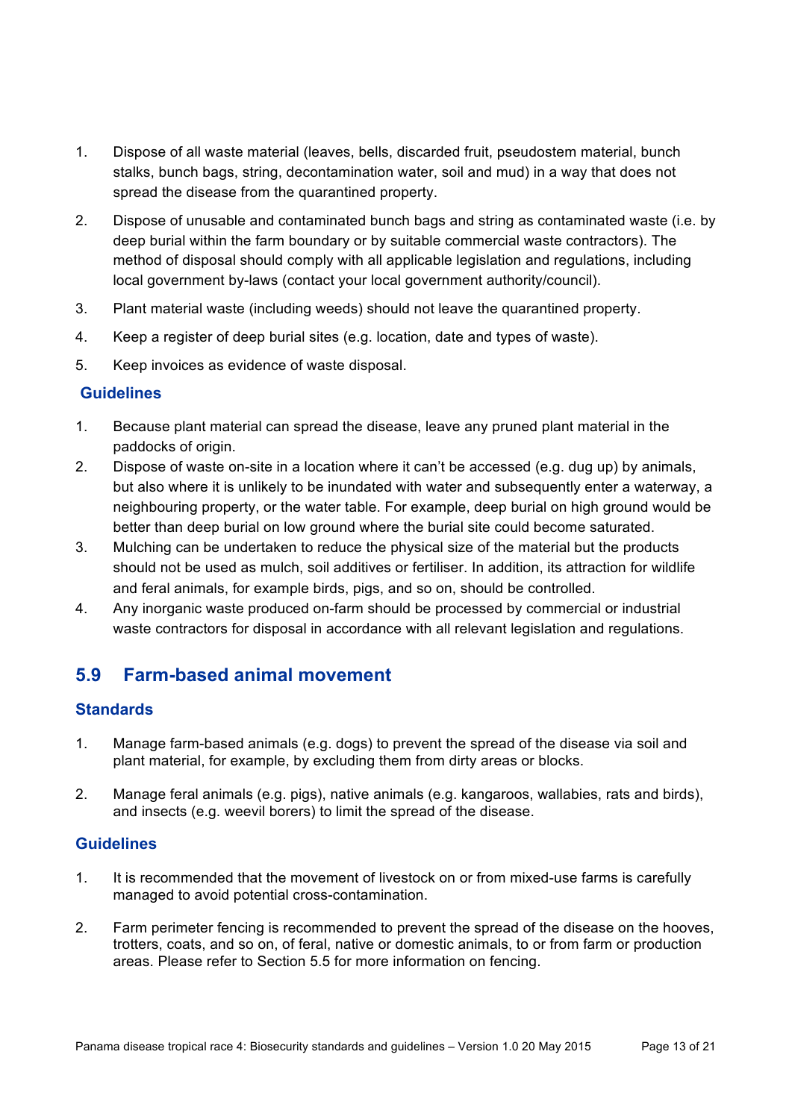- 1. Dispose of all waste material (leaves, bells, discarded fruit, pseudostem material, bunch stalks, bunch bags, string, decontamination water, soil and mud) in a way that does not spread the disease from the quarantined property.
- 2. Dispose of unusable and contaminated bunch bags and string as contaminated waste (i.e. by deep burial within the farm boundary or by suitable commercial waste contractors). The method of disposal should comply with all applicable legislation and regulations, including local government by-laws (contact your local government authority/council).
- 3. Plant material waste (including weeds) should not leave the quarantined property.
- 4. Keep a register of deep burial sites (e.g. location, date and types of waste).
- 5. Keep invoices as evidence of waste disposal.

- 1. Because plant material can spread the disease, leave any pruned plant material in the paddocks of origin.
- 2. Dispose of waste on-site in a location where it can't be accessed (e.g. dug up) by animals, but also where it is unlikely to be inundated with water and subsequently enter a waterway, a neighbouring property, or the water table. For example, deep burial on high ground would be better than deep burial on low ground where the burial site could become saturated.
- 3. Mulching can be undertaken to reduce the physical size of the material but the products should not be used as mulch, soil additives or fertiliser. In addition, its attraction for wildlife and feral animals, for example birds, pigs, and so on, should be controlled.
- 4. Any inorganic waste produced on-farm should be processed by commercial or industrial waste contractors for disposal in accordance with all relevant legislation and regulations.

# **5.9 Farm-based animal movement**

#### **Standards**

- 1. Manage farm-based animals (e.g. dogs) to prevent the spread of the disease via soil and plant material, for example, by excluding them from dirty areas or blocks.
- 2. Manage feral animals (e.g. pigs), native animals (e.g. kangaroos, wallabies, rats and birds), and insects (e.g. weevil borers) to limit the spread of the disease.

#### **Guidelines**

- 1. It is recommended that the movement of livestock on or from mixed-use farms is carefully managed to avoid potential cross-contamination.
- 2. Farm perimeter fencing is recommended to prevent the spread of the disease on the hooves, trotters, coats, and so on, of feral, native or domestic animals, to or from farm or production areas. Please refer to Section 5.5 for more information on fencing.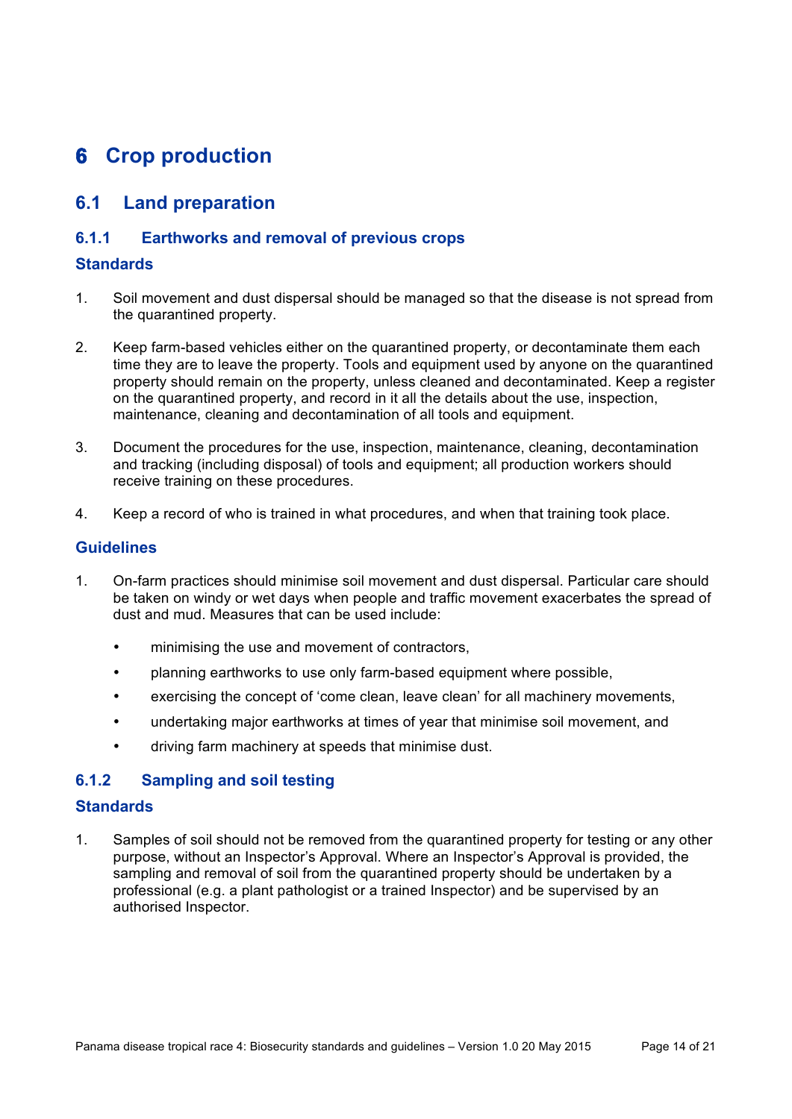# **6 Crop production**

### **6.1 Land preparation**

#### **6.1.1 Earthworks and removal of previous crops**

#### **Standards**

- 1. Soil movement and dust dispersal should be managed so that the disease is not spread from the quarantined property.
- 2. Keep farm-based vehicles either on the quarantined property, or decontaminate them each time they are to leave the property. Tools and equipment used by anyone on the quarantined property should remain on the property, unless cleaned and decontaminated. Keep a register on the quarantined property, and record in it all the details about the use, inspection, maintenance, cleaning and decontamination of all tools and equipment.
- 3. Document the procedures for the use, inspection, maintenance, cleaning, decontamination and tracking (including disposal) of tools and equipment; all production workers should receive training on these procedures.
- 4. Keep a record of who is trained in what procedures, and when that training took place.

#### **Guidelines**

- 1. On-farm practices should minimise soil movement and dust dispersal. Particular care should be taken on windy or wet days when people and traffic movement exacerbates the spread of dust and mud. Measures that can be used include:
	- minimising the use and movement of contractors,
	- planning earthworks to use only farm-based equipment where possible,
	- exercising the concept of 'come clean, leave clean' for all machinery movements,
	- undertaking major earthworks at times of year that minimise soil movement, and
	- driving farm machinery at speeds that minimise dust.

#### **6.1.2 Sampling and soil testing**

#### **Standards**

1. Samples of soil should not be removed from the quarantined property for testing or any other purpose, without an Inspector's Approval. Where an Inspector's Approval is provided, the sampling and removal of soil from the quarantined property should be undertaken by a professional (e.g. a plant pathologist or a trained Inspector) and be supervised by an authorised Inspector.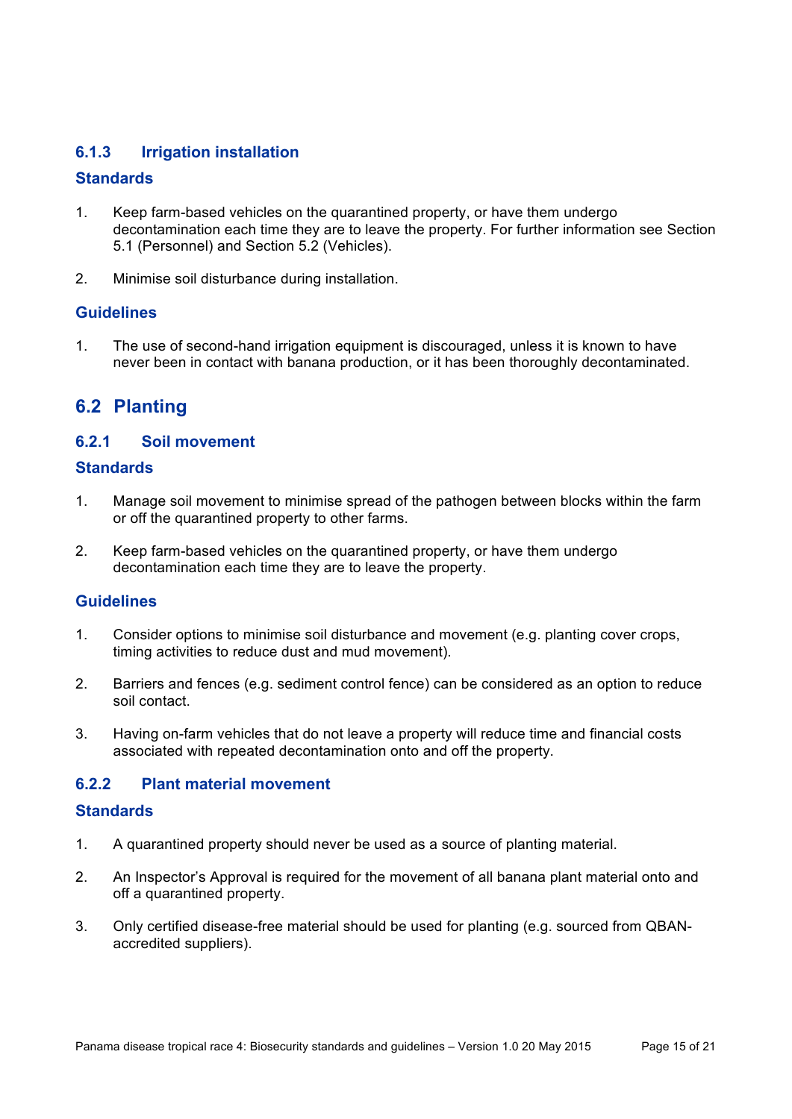#### **6.1.3 Irrigation installation**

#### **Standards**

- 1. Keep farm-based vehicles on the quarantined property, or have them undergo decontamination each time they are to leave the property. For further information see Section 5.1 (Personnel) and Section 5.2 (Vehicles).
- 2. Minimise soil disturbance during installation.

#### **Guidelines**

1. The use of second-hand irrigation equipment is discouraged, unless it is known to have never been in contact with banana production, or it has been thoroughly decontaminated.

### **6.2 Planting**

#### **6.2.1 Soil movement**

#### **Standards**

- 1. Manage soil movement to minimise spread of the pathogen between blocks within the farm or off the quarantined property to other farms.
- 2. Keep farm-based vehicles on the quarantined property, or have them undergo decontamination each time they are to leave the property.

#### **Guidelines**

- 1. Consider options to minimise soil disturbance and movement (e.g. planting cover crops, timing activities to reduce dust and mud movement).
- 2. Barriers and fences (e.g. sediment control fence) can be considered as an option to reduce soil contact.
- 3. Having on-farm vehicles that do not leave a property will reduce time and financial costs associated with repeated decontamination onto and off the property.

#### **6.2.2 Plant material movement**

- 1. A quarantined property should never be used as a source of planting material.
- 2. An Inspector's Approval is required for the movement of all banana plant material onto and off a quarantined property.
- 3. Only certified disease-free material should be used for planting (e.g. sourced from QBANaccredited suppliers).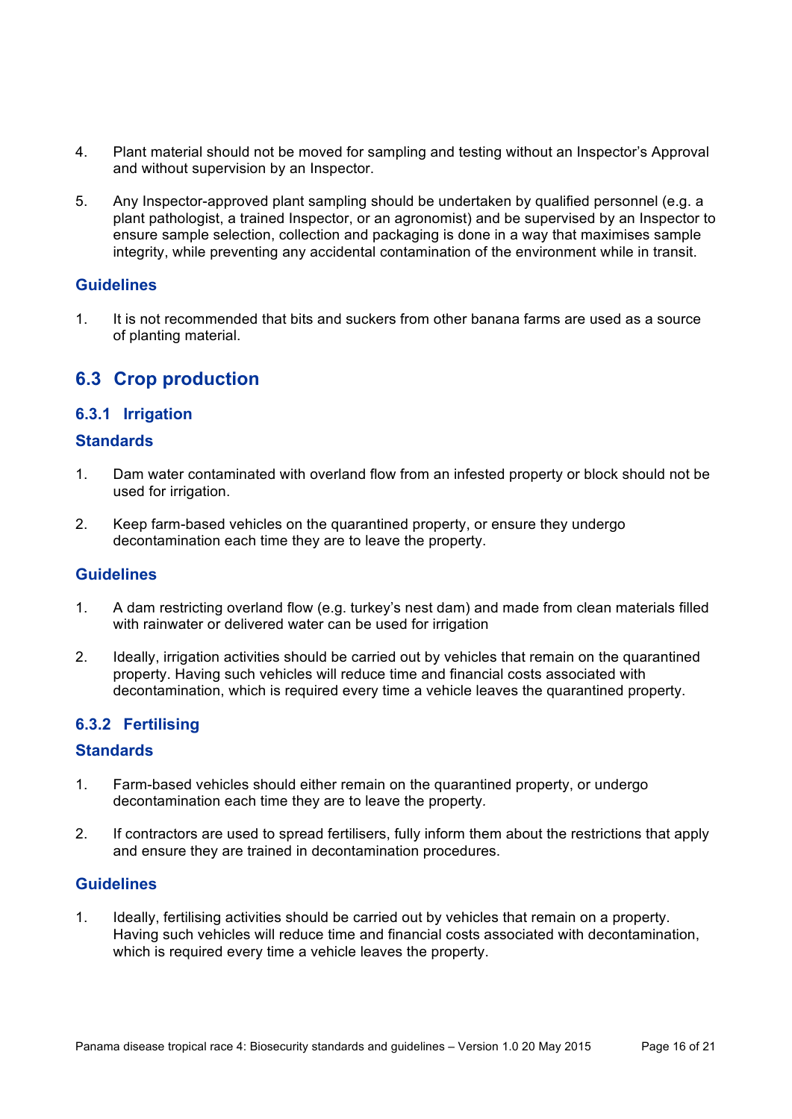- 4. Plant material should not be moved for sampling and testing without an Inspector's Approval and without supervision by an Inspector.
- 5. Any Inspector-approved plant sampling should be undertaken by qualified personnel (e.g. a plant pathologist, a trained Inspector, or an agronomist) and be supervised by an Inspector to ensure sample selection, collection and packaging is done in a way that maximises sample integrity, while preventing any accidental contamination of the environment while in transit.

1. It is not recommended that bits and suckers from other banana farms are used as a source of planting material.

# **6.3 Crop production**

#### **6.3.1 Irrigation**

#### **Standards**

- 1. Dam water contaminated with overland flow from an infested property or block should not be used for irrigation.
- 2. Keep farm-based vehicles on the quarantined property, or ensure they undergo decontamination each time they are to leave the property.

#### **Guidelines**

- 1. A dam restricting overland flow (e.g. turkey's nest dam) and made from clean materials filled with rainwater or delivered water can be used for irrigation
- 2. Ideally, irrigation activities should be carried out by vehicles that remain on the quarantined property. Having such vehicles will reduce time and financial costs associated with decontamination, which is required every time a vehicle leaves the quarantined property.

#### **6.3.2 Fertilising**

#### **Standards**

- 1. Farm-based vehicles should either remain on the quarantined property, or undergo decontamination each time they are to leave the property*.*
- 2. If contractors are used to spread fertilisers, fully inform them about the restrictions that apply and ensure they are trained in decontamination procedures.

#### **Guidelines**

1. Ideally, fertilising activities should be carried out by vehicles that remain on a property. Having such vehicles will reduce time and financial costs associated with decontamination, which is required every time a vehicle leaves the property.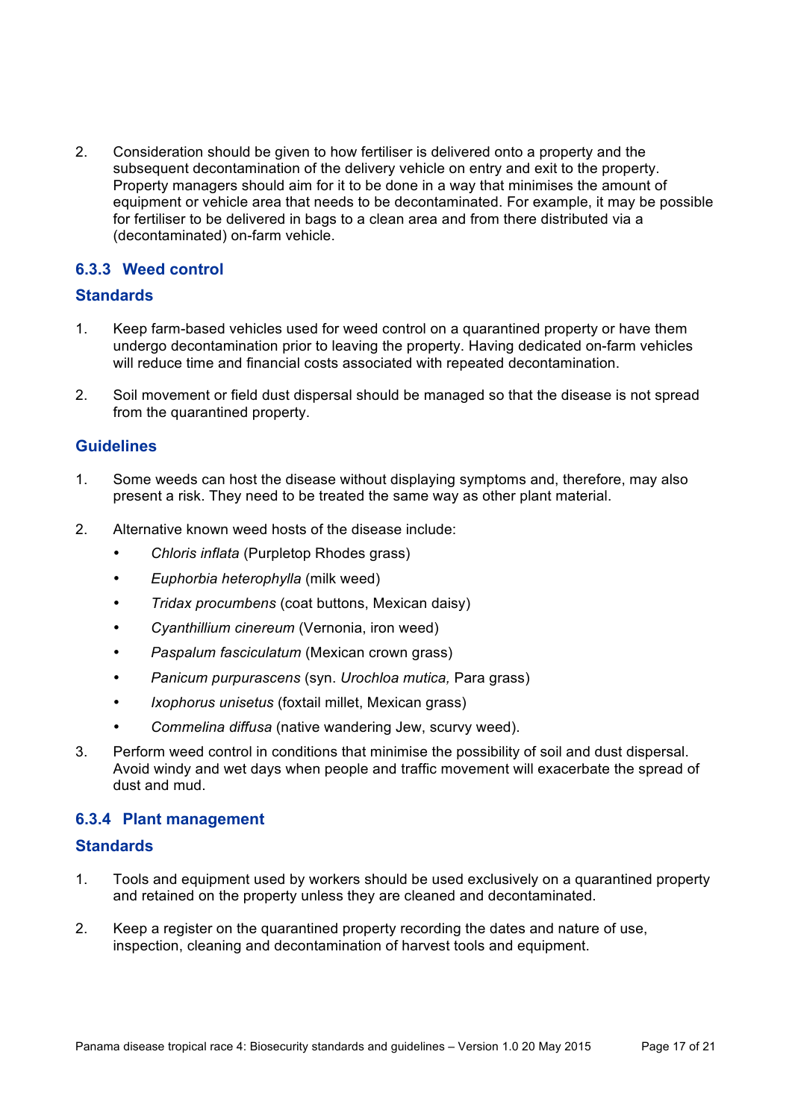2. Consideration should be given to how fertiliser is delivered onto a property and the subsequent decontamination of the delivery vehicle on entry and exit to the property. Property managers should aim for it to be done in a way that minimises the amount of equipment or vehicle area that needs to be decontaminated. For example, it may be possible for fertiliser to be delivered in bags to a clean area and from there distributed via a (decontaminated) on-farm vehicle.

#### **6.3.3 Weed control**

#### **Standards**

- 1. Keep farm-based vehicles used for weed control on a quarantined property or have them undergo decontamination prior to leaving the property. Having dedicated on-farm vehicles will reduce time and financial costs associated with repeated decontamination.
- 2. Soil movement or field dust dispersal should be managed so that the disease is not spread from the quarantined property.

#### **Guidelines**

- 1. Some weeds can host the disease without displaying symptoms and, therefore, may also present a risk. They need to be treated the same way as other plant material.
- 2. Alternative known weed hosts of the disease include:
	- *Chloris inflata* (Purpletop Rhodes grass)
	- *Euphorbia heterophylla* (milk weed)
	- *Tridax procumbens* (coat buttons, Mexican daisy)
	- *Cyanthillium cinereum* (Vernonia, iron weed)
	- *Paspalum fasciculatum* (Mexican crown grass)
	- *Panicum purpurascens* (syn. *Urochloa mutica,* Para grass)
	- *Ixophorus unisetus* (foxtail millet, Mexican grass)
	- *Commelina diffusa* (native wandering Jew, scurvy weed).
- 3. Perform weed control in conditions that minimise the possibility of soil and dust dispersal. Avoid windy and wet days when people and traffic movement will exacerbate the spread of dust and mud.

#### **6.3.4 Plant management**

- 1. Tools and equipment used by workers should be used exclusively on a quarantined property and retained on the property unless they are cleaned and decontaminated.
- 2. Keep a register on the quarantined property recording the dates and nature of use, inspection, cleaning and decontamination of harvest tools and equipment.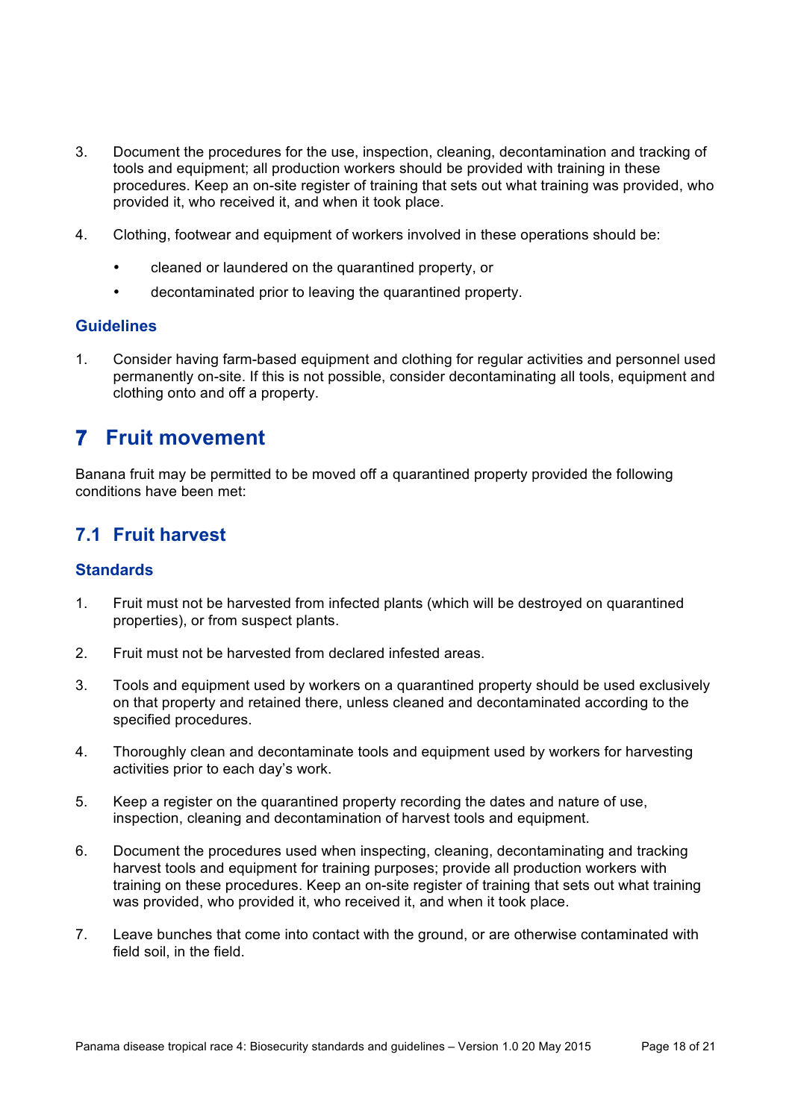- 3. Document the procedures for the use, inspection, cleaning, decontamination and tracking of tools and equipment; all production workers should be provided with training in these procedures. Keep an on-site register of training that sets out what training was provided, who provided it, who received it, and when it took place.
- 4. Clothing, footwear and equipment of workers involved in these operations should be:
	- cleaned or laundered on the quarantined property, or
	- decontaminated prior to leaving the quarantined property.

1. Consider having farm-based equipment and clothing for regular activities and personnel used permanently on-site. If this is not possible, consider decontaminating all tools, equipment and clothing onto and off a property.

# **7 Fruit movement**

Banana fruit may be permitted to be moved off a quarantined property provided the following conditions have been met:

### **7.1 Fruit harvest**

- 1. Fruit must not be harvested from infected plants (which will be destroyed on quarantined properties), or from suspect plants.
- 2. Fruit must not be harvested from declared infested areas.
- 3. Tools and equipment used by workers on a quarantined property should be used exclusively on that property and retained there, unless cleaned and decontaminated according to the specified procedures.
- 4. Thoroughly clean and decontaminate tools and equipment used by workers for harvesting activities prior to each day's work.
- 5. Keep a register on the quarantined property recording the dates and nature of use, inspection, cleaning and decontamination of harvest tools and equipment.
- 6. Document the procedures used when inspecting, cleaning, decontaminating and tracking harvest tools and equipment for training purposes; provide all production workers with training on these procedures. Keep an on-site register of training that sets out what training was provided, who provided it, who received it, and when it took place.
- 7. Leave bunches that come into contact with the ground, or are otherwise contaminated with field soil, in the field.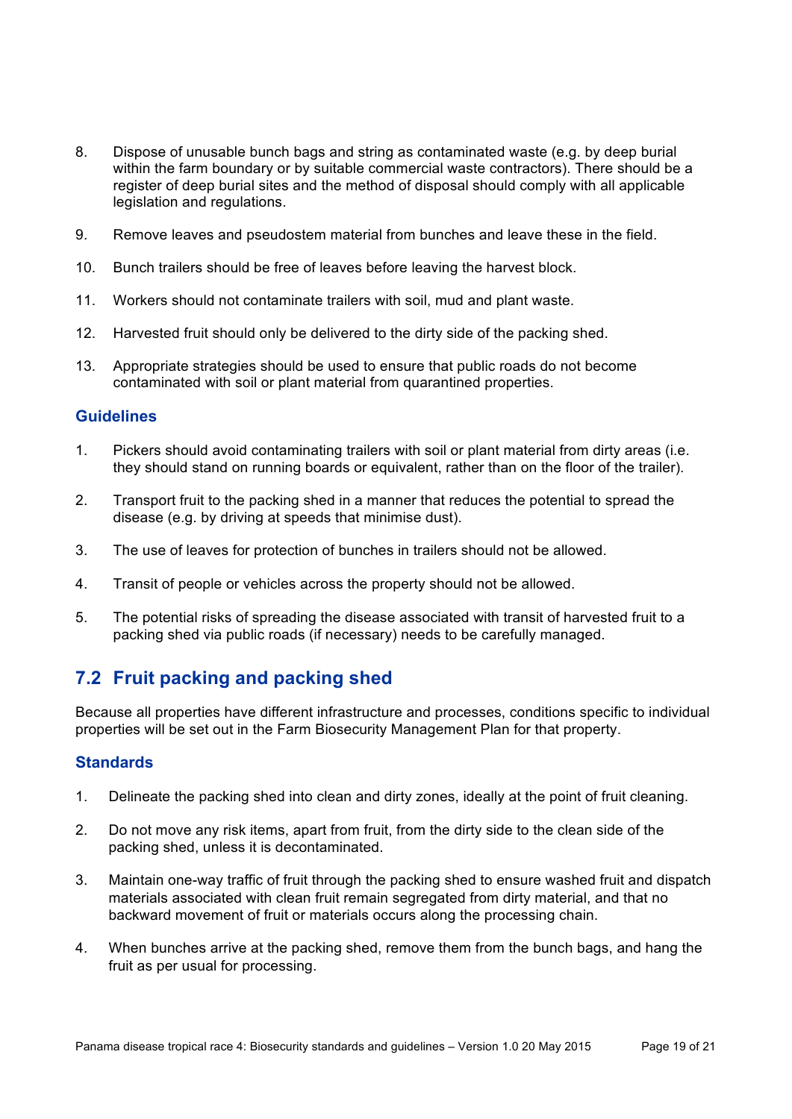- 8. Dispose of unusable bunch bags and string as contaminated waste (e.g. by deep burial within the farm boundary or by suitable commercial waste contractors). There should be a register of deep burial sites and the method of disposal should comply with all applicable legislation and regulations.
- 9. Remove leaves and pseudostem material from bunches and leave these in the field.
- 10. Bunch trailers should be free of leaves before leaving the harvest block.
- 11. Workers should not contaminate trailers with soil, mud and plant waste.
- 12. Harvested fruit should only be delivered to the dirty side of the packing shed.
- 13. Appropriate strategies should be used to ensure that public roads do not become contaminated with soil or plant material from quarantined properties.

- 1. Pickers should avoid contaminating trailers with soil or plant material from dirty areas (i.e. they should stand on running boards or equivalent, rather than on the floor of the trailer).
- 2. Transport fruit to the packing shed in a manner that reduces the potential to spread the disease (e.g. by driving at speeds that minimise dust).
- 3. The use of leaves for protection of bunches in trailers should not be allowed.
- 4. Transit of people or vehicles across the property should not be allowed.
- 5. The potential risks of spreading the disease associated with transit of harvested fruit to a packing shed via public roads (if necessary) needs to be carefully managed.

# **7.2 Fruit packing and packing shed**

Because all properties have different infrastructure and processes, conditions specific to individual properties will be set out in the Farm Biosecurity Management Plan for that property.

- 1. Delineate the packing shed into clean and dirty zones, ideally at the point of fruit cleaning.
- 2. Do not move any risk items, apart from fruit, from the dirty side to the clean side of the packing shed, unless it is decontaminated.
- 3. Maintain one-way traffic of fruit through the packing shed to ensure washed fruit and dispatch materials associated with clean fruit remain segregated from dirty material, and that no backward movement of fruit or materials occurs along the processing chain.
- 4. When bunches arrive at the packing shed, remove them from the bunch bags, and hang the fruit as per usual for processing.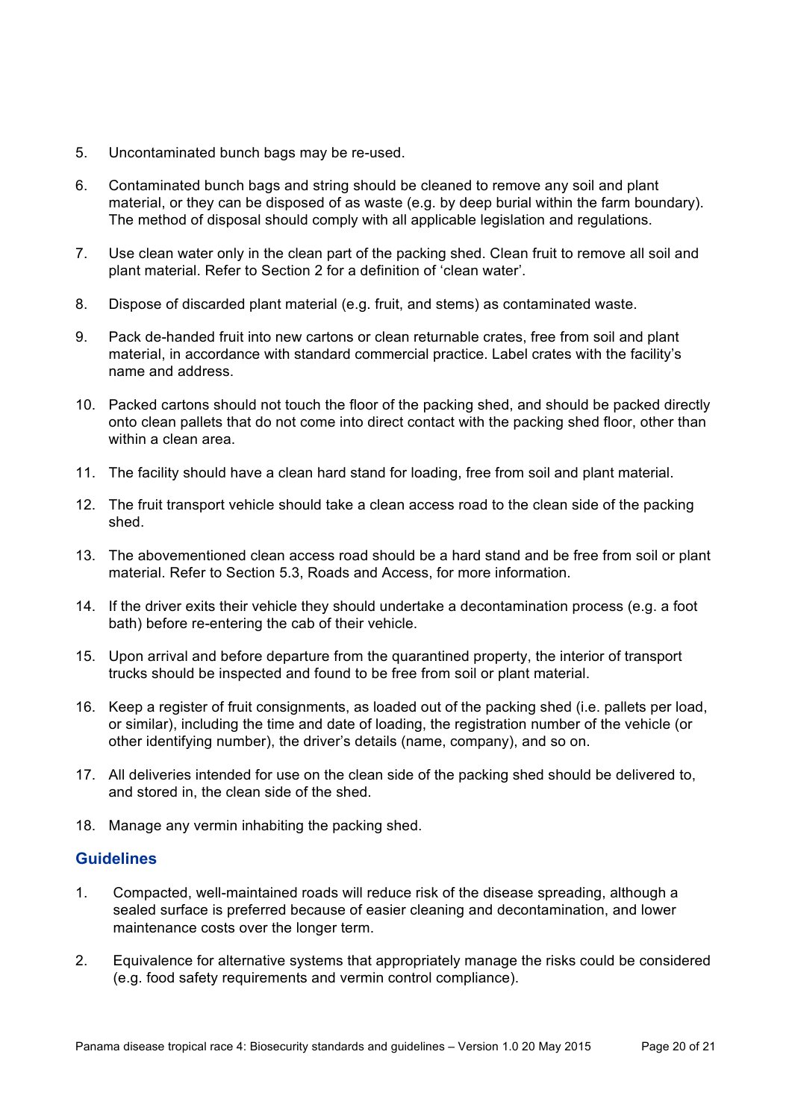- 5. Uncontaminated bunch bags may be re-used.
- 6. Contaminated bunch bags and string should be cleaned to remove any soil and plant material, or they can be disposed of as waste (e.g. by deep burial within the farm boundary). The method of disposal should comply with all applicable legislation and regulations.
- 7. Use clean water only in the clean part of the packing shed. Clean fruit to remove all soil and plant material. Refer to Section 2 for a definition of 'clean water'.
- 8. Dispose of discarded plant material (e.g. fruit, and stems) as contaminated waste.
- 9. Pack de-handed fruit into new cartons or clean returnable crates, free from soil and plant material, in accordance with standard commercial practice. Label crates with the facility's name and address.
- 10. Packed cartons should not touch the floor of the packing shed, and should be packed directly onto clean pallets that do not come into direct contact with the packing shed floor, other than within a clean area.
- 11. The facility should have a clean hard stand for loading, free from soil and plant material.
- 12. The fruit transport vehicle should take a clean access road to the clean side of the packing shed.
- 13. The abovementioned clean access road should be a hard stand and be free from soil or plant material. Refer to Section 5.3, Roads and Access, for more information.
- 14. If the driver exits their vehicle they should undertake a decontamination process (e.g. a foot bath) before re-entering the cab of their vehicle.
- 15. Upon arrival and before departure from the quarantined property, the interior of transport trucks should be inspected and found to be free from soil or plant material.
- 16. Keep a register of fruit consignments, as loaded out of the packing shed (i.e. pallets per load, or similar), including the time and date of loading, the registration number of the vehicle (or other identifying number), the driver's details (name, company), and so on.
- 17. All deliveries intended for use on the clean side of the packing shed should be delivered to, and stored in, the clean side of the shed.
- 18. Manage any vermin inhabiting the packing shed.

- 1. Compacted, well-maintained roads will reduce risk of the disease spreading, although a sealed surface is preferred because of easier cleaning and decontamination, and lower maintenance costs over the longer term.
- 2. Equivalence for alternative systems that appropriately manage the risks could be considered (e.g. food safety requirements and vermin control compliance).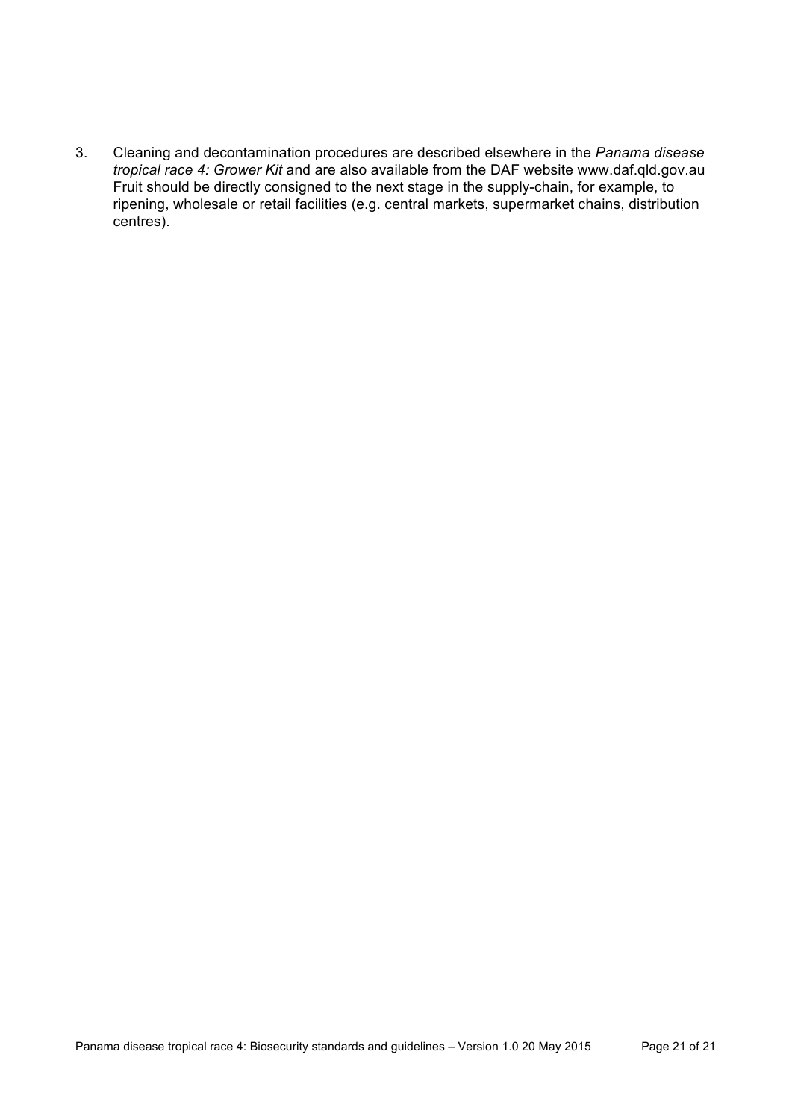3. Cleaning and decontamination procedures are described elsewhere in the *Panama disease tropical race 4: Grower Kit* and are also available from the DAF website www.daf.qld.gov.au Fruit should be directly consigned to the next stage in the supply-chain, for example, to ripening, wholesale or retail facilities (e.g. central markets, supermarket chains, distribution centres).